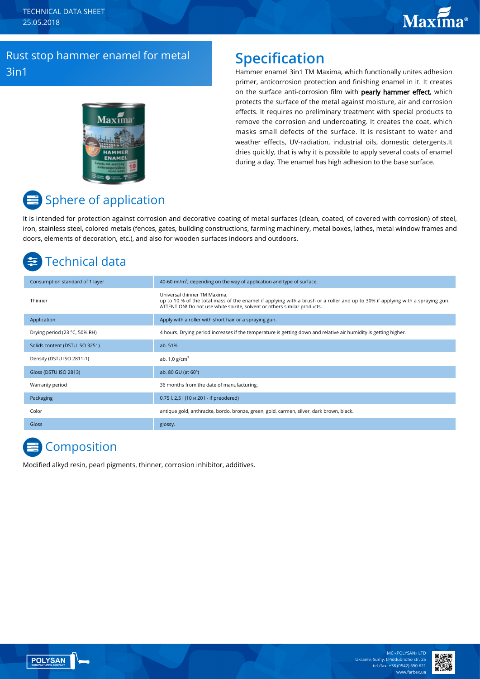# **Maxima**®

### Rust stop hammer enamel for metal 3in1



### **Specification**

Hammer enamel 3in1 TM Maxima, which functionally unites adhesion primer, anticorrosion protection and finishing enamel in it. It creates on the surface anti-corrosion film with pearly hammer effect, which protects the surface of the metal against moisture, air and corrosion effects. It requires no preliminary treatment with special products to remove the corrosion and undercoating. It creates the coat, which masks small defects of the surface. It is resistant to water and weather effects, UV-radiation, industrial oils, domestic detergents.It dries quickly, that is why it is possible to apply several coats of enamel during a day. The enamel has high adhesion to the base surface.

# Sphere of application

It is intended for protection against corrosion and decorative coating of metal surfaces (clean, coated, of covered with corrosion) of steel, iron, stainless steel, colored metals (fences, gates, building constructions, farming machinery, metal boxes, lathes, metal window frames and doors, elements of decoration, etc.), and also for wooden surfaces indoors and outdoors.

# Technical data

| Consumption standard of 1 layer | 40-60 ml/m <sup>2</sup> , depending on the way of application and type of surface.                                                                                                                                                         |
|---------------------------------|--------------------------------------------------------------------------------------------------------------------------------------------------------------------------------------------------------------------------------------------|
| Thinner                         | Universal thinner TM Maxima,<br>up to 10 % of the total mass of the enamel if applying with a brush or a roller and up to 30% if applying with a spraying gun.<br>ATTENTION! Do not use white spirite, solvent or others similar products. |
| Application                     | Apply with a roller with short hair or a spraying gun.                                                                                                                                                                                     |
| Drying period (23 °C, 50% RH)   | 4 hours. Drying period increases if the temperature is getting down and relative air humidity is getting higher.                                                                                                                           |
| Solids content (DSTU ISO 3251)  | ab. 51%                                                                                                                                                                                                                                    |
| Density (DSTU ISO 2811-1)       | ab. $1,0$ g/cm <sup>3</sup>                                                                                                                                                                                                                |
| Gloss (DSTU ISO 2813)           | ab. 80 GU (at 60°)                                                                                                                                                                                                                         |
| Warranty period                 | 36 months from the date of manufacturing.                                                                                                                                                                                                  |
| Packaging                       | 0,75 l, 2,5 l (10 u 20 l - if preodered)                                                                                                                                                                                                   |
| Color                           | antique gold, anthracite, bordo, bronze, green, gold, carmen, silver, dark brown, black.                                                                                                                                                   |
| <b>Gloss</b>                    | glossy.                                                                                                                                                                                                                                    |

### **E** Composition

Modified alkyd resin, pearl pigments, thinner, corrosion inhibitor, additives.